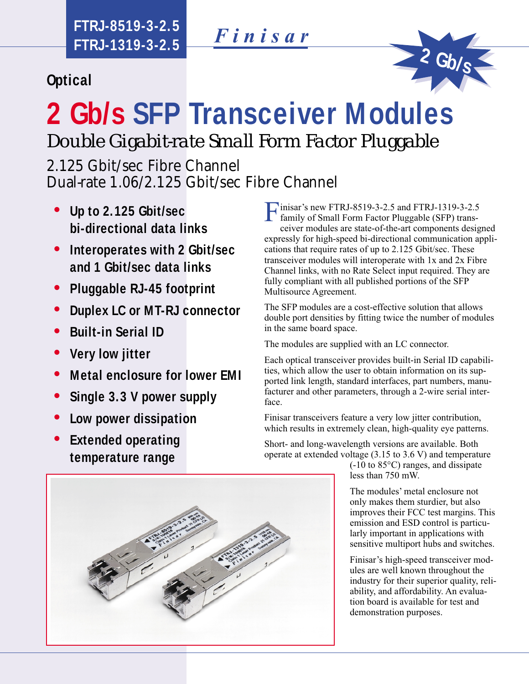*Finisar*

**Optical**



# **2 Gb/s SFP Transceiver Modules** *Double Gigabit-rate Small Form Factor Pluggable*

2.125 Gbit/sec Fibre Channel Dual-rate 1.06/2.125 Gbit/sec Fibre Channel

- **Up to 2.125 Gbit/sec bi-directional data links**
- $\bullet$ **Interoperates with 2 Gbit/sec and 1 Gbit/sec data links**
- $\bullet$ **Pluggable RJ-45 footprint**
- $\bullet$ **Duplex LC or MT-RJ connector**
- $\bullet$ **Built-in Serial ID**
- $\bullet$ **Very low jitter**
- $\bullet$ **Metal enclosure for lower EMI**
- $\bullet$ **Single 3.3 V power supply**
- $\bullet$ **Low power dissipation**
- $\bullet$ **Extended operating temperature range**

Finisar's new FTRJ-8519-3-2.5 and FTRJ-1319-3-2.5 family of Small Form Factor Pluggable (SFP) trans-

ceiver modules are state-of-the-art components designed expressly for high-speed bi-directional communication applications that require rates of up to 2.125 Gbit/sec. These transceiver modules will interoperate with 1x and 2x Fibre Channel links, with no Rate Select input required. They are fully compliant with all published portions of the SFP Multisource Agreement.

The SFP modules are a cost-effective solution that allows double port densities by fitting twice the number of modules in the same board space.

The modules are supplied with an LC connector.

Each optical transceiver provides built-in Serial ID capabilities, which allow the user to obtain information on its supported link length, standard interfaces, part numbers, manufacturer and other parameters, through a 2-wire serial interface.

Finisar transceivers feature a very low jitter contribution, which results in extremely clean, high-quality eye patterns.

Short- and long-wavelength versions are available. Both operate at extended voltage (3.15 to 3.6 V) and temperature

(-10 to 85°C) ranges, and dissipate less than 750 mW.

The modules' metal enclosure not only makes them sturdier, but also improves their FCC test margins. This emission and ESD control is particularly important in applications with sensitive multiport hubs and switches.

Finisar's high-speed transceiver modules are well known throughout the industry for their superior quality, reliability, and affordability. An evaluation board is available for test and demonstration purposes.